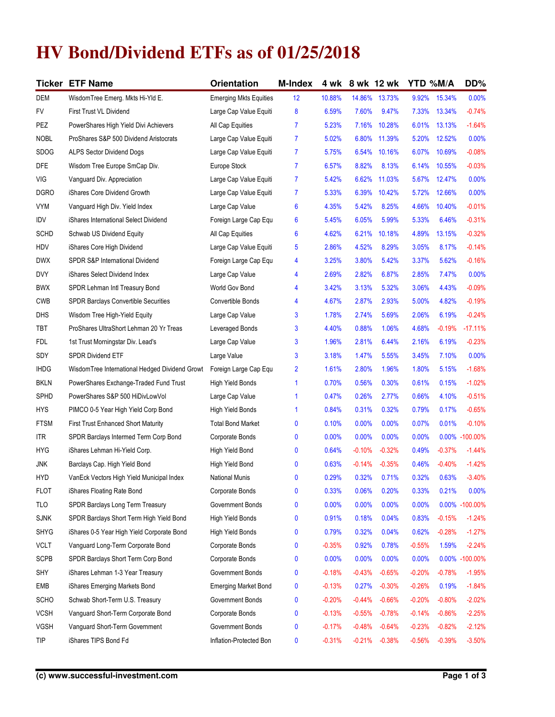## **HV Bond/Dividend ETFs as of 01/25/2018**

|             | <b>Ticker ETF Name</b>                         | Orientation                   | <b>M-Index</b> | 4 wk     |          | 8 wk 12 wk | YTD %M/A |          | DD%            |
|-------------|------------------------------------------------|-------------------------------|----------------|----------|----------|------------|----------|----------|----------------|
| DEM         | WisdomTree Emerg. Mkts Hi-Yld E.               | <b>Emerging Mkts Equities</b> | 12             | 10.88%   | 14.86%   | 13.73%     | 9.92%    | 15.34%   | 0.00%          |
| FV          | First Trust VL Dividend                        | Large Cap Value Equiti        | 8              | 6.59%    | 7.60%    | 9.47%      | 7.33%    | 13.34%   | $-0.74%$       |
| PEZ         | PowerShares High Yield Divi Achievers          | All Cap Equities              | $\overline{7}$ | 5.23%    | 7.16%    | 10.28%     | 6.01%    | 13.13%   | $-1.64%$       |
| <b>NOBL</b> | ProShares S&P 500 Dividend Aristocrats         | Large Cap Value Equiti        | $\overline{7}$ | 5.02%    | 6.80%    | 11.39%     | 5.20%    | 12.52%   | 0.00%          |
| <b>SDOG</b> | <b>ALPS Sector Dividend Dogs</b>               | Large Cap Value Equiti        | $\overline{7}$ | 5.75%    | 6.54%    | 10.16%     | $6.07\%$ | 10.69%   | $-0.08%$       |
| <b>DFE</b>  | Wisdom Tree Europe SmCap Div.                  | Europe Stock                  | $\overline{7}$ | 6.57%    | 8.82%    | 8.13%      | 6.14%    | 10.55%   | $-0.03%$       |
| VIG         | Vanguard Div. Appreciation                     | Large Cap Value Equiti        | $\overline{7}$ | 5.42%    | 6.62%    | 11.03%     | 5.67%    | 12.47%   | 0.00%          |
| <b>DGRO</b> | iShares Core Dividend Growth                   | Large Cap Value Equiti        | 7              | 5.33%    | 6.39%    | 10.42%     | 5.72%    | 12.66%   | 0.00%          |
| <b>VYM</b>  | Vanguard High Div. Yield Index                 | Large Cap Value               | 6              | 4.35%    | 5.42%    | 8.25%      | 4.66%    | 10.40%   | $-0.01%$       |
| IDV         | iShares International Select Dividend          | Foreign Large Cap Equ         | 6              | 5.45%    | 6.05%    | 5.99%      | 5.33%    | 6.46%    | $-0.31%$       |
| <b>SCHD</b> | Schwab US Dividend Equity                      | All Cap Equities              | 6              | 4.62%    | 6.21%    | 10.18%     | 4.89%    | 13.15%   | $-0.32%$       |
| HDV         | iShares Core High Dividend                     | Large Cap Value Equiti        | 5              | 2.86%    | 4.52%    | 8.29%      | 3.05%    | 8.17%    | $-0.14%$       |
| <b>DWX</b>  | SPDR S&P International Dividend                | Foreign Large Cap Equ         | 4              | 3.25%    | 3.80%    | 5.42%      | 3.37%    | 5.62%    | $-0.16%$       |
| <b>DVY</b>  | iShares Select Dividend Index                  | Large Cap Value               | 4              | 2.69%    | 2.82%    | 6.87%      | 2.85%    | 7.47%    | 0.00%          |
| <b>BWX</b>  | SPDR Lehman Intl Treasury Bond                 | World Gov Bond                | 4              | 3.42%    | 3.13%    | 5.32%      | 3.06%    | 4.43%    | $-0.09%$       |
| <b>CWB</b>  | <b>SPDR Barclays Convertible Securities</b>    | Convertible Bonds             | 4              | 4.67%    | 2.87%    | 2.93%      | 5.00%    | 4.82%    | $-0.19%$       |
| DHS         | Wisdom Tree High-Yield Equity                  | Large Cap Value               | 3              | 1.78%    | 2.74%    | 5.69%      | 2.06%    | 6.19%    | $-0.24%$       |
| TBT         | ProShares UltraShort Lehman 20 Yr Treas        | Leveraged Bonds               | 3              | 4.40%    | 0.88%    | 1.06%      | 4.68%    | $-0.19%$ | $-17.11%$      |
| FDL         | 1st Trust Morningstar Div. Lead's              | Large Cap Value               | 3              | 1.96%    | 2.81%    | 6.44%      | 2.16%    | 6.19%    | $-0.23%$       |
| SDY         | <b>SPDR Dividend ETF</b>                       | Large Value                   | 3              | 3.18%    | 1.47%    | 5.55%      | 3.45%    | 7.10%    | 0.00%          |
| <b>IHDG</b> | WisdomTree International Hedged Dividend Growt | Foreign Large Cap Equ         | $\overline{2}$ | 1.61%    | 2.80%    | 1.96%      | 1.80%    | 5.15%    | $-1.68%$       |
| <b>BKLN</b> | PowerShares Exchange-Traded Fund Trust         | High Yield Bonds              | $\mathbf{1}$   | 0.70%    | 0.56%    | 0.30%      | 0.61%    | 0.15%    | $-1.02%$       |
| SPHD        | PowerShares S&P 500 HiDivLowVol                | Large Cap Value               | $\mathbf{1}$   | 0.47%    | 0.26%    | 2.77%      | 0.66%    | 4.10%    | $-0.51%$       |
| <b>HYS</b>  | PIMCO 0-5 Year High Yield Corp Bond            | High Yield Bonds              | $\mathbf{1}$   | 0.84%    | 0.31%    | 0.32%      | 0.79%    | 0.17%    | $-0.65%$       |
| <b>FTSM</b> | <b>First Trust Enhanced Short Maturity</b>     | <b>Total Bond Market</b>      | 0              | 0.10%    | 0.00%    | 0.00%      | 0.07%    | 0.01%    | $-0.10%$       |
| <b>ITR</b>  | SPDR Barclays Intermed Term Corp Bond          | Corporate Bonds               | 0              | 0.00%    | 0.00%    | 0.00%      | 0.00%    | $0.00\%$ | $-100.00\%$    |
| <b>HYG</b>  | iShares Lehman Hi-Yield Corp.                  | High Yield Bond               | 0              | 0.64%    | $-0.10%$ | $-0.32%$   | 0.49%    | $-0.37%$ | $-1.44%$       |
| JNK         | Barclays Cap. High Yield Bond                  | High Yield Bond               | 0              | 0.63%    | $-0.14%$ | $-0.35%$   | 0.46%    | $-0.40%$ | $-1.42%$       |
| <b>HYD</b>  | VanEck Vectors High Yield Municipal Index      | <b>National Munis</b>         | 0              | 0.29%    | 0.32%    | 0.71%      | 0.32%    | 0.63%    | $-3.40%$       |
| <b>FLOT</b> | iShares Floating Rate Bond                     | Corporate Bonds               | 0              | 0.33%    | 0.06%    | 0.20%      | 0.33%    | 0.21%    | 0.00%          |
| TLO         | SPDR Barclays Long Term Treasury               | Government Bonds              | 0              | 0.00%    | 0.00%    | 0.00%      | 0.00%    |          | 0.00% -100.00% |
| <b>SJNK</b> | SPDR Barclays Short Term High Yield Bond       | High Yield Bonds              | 0              | 0.91%    | 0.18%    | 0.04%      | 0.83%    | $-0.15%$ | $-1.24%$       |
| SHYG        | iShares 0-5 Year High Yield Corporate Bond     | High Yield Bonds              | 0              | 0.79%    | 0.32%    | 0.04%      | 0.62%    | $-0.28%$ | $-1.27%$       |
| <b>VCLT</b> | Vanguard Long-Term Corporate Bond              | Corporate Bonds               | 0              | $-0.35%$ | 0.92%    | 0.78%      | $-0.55%$ | 1.59%    | $-2.24%$       |
| <b>SCPB</b> | SPDR Barclays Short Term Corp Bond             | Corporate Bonds               | 0              | 0.00%    | 0.00%    | 0.00%      | 0.00%    | 0.00%    | $-100.00\%$    |
| SHY         | iShares Lehman 1-3 Year Treasury               | Government Bonds              | 0              | $-0.18%$ | $-0.43%$ | $-0.65%$   | $-0.20%$ | $-0.78%$ | $-1.95%$       |
| EMB         | iShares Emerging Markets Bond                  | <b>Emerging Market Bond</b>   | 0              | $-0.13%$ | 0.27%    | $-0.30%$   | $-0.26%$ | 0.19%    | $-1.84%$       |
| SCHO        | Schwab Short-Term U.S. Treasury                | Government Bonds              | 0              | $-0.20%$ | $-0.44%$ | $-0.66%$   | $-0.20%$ | $-0.80%$ | $-2.02%$       |
| <b>VCSH</b> | Vanguard Short-Term Corporate Bond             | Corporate Bonds               | 0              | $-0.13%$ | $-0.55%$ | $-0.78%$   | $-0.14%$ | $-0.86%$ | $-2.25%$       |
| VGSH        | Vanguard Short-Term Government                 | Government Bonds              | 0              | $-0.17%$ | $-0.48%$ | $-0.64%$   | $-0.23%$ | $-0.82%$ | $-2.12%$       |
| TIP         | iShares TIPS Bond Fd                           | Inflation-Protected Bon       | 0              | $-0.31%$ | $-0.21%$ | $-0.38%$   | $-0.56%$ | $-0.39%$ | $-3.50%$       |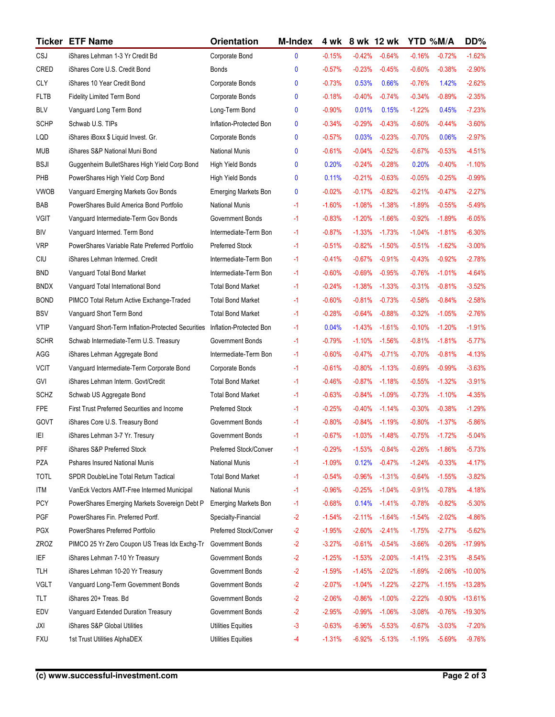|             | <b>Ticker ETF Name</b>                             | Orientation                 | <b>M-Index</b> | 4 wk     | 8 wk 12 wk |           | YTD %M/A  |          | DD%       |
|-------------|----------------------------------------------------|-----------------------------|----------------|----------|------------|-----------|-----------|----------|-----------|
| CSJ         | iShares Lehman 1-3 Yr Credit Bd                    | Corporate Bond              | 0              | $-0.15%$ | $-0.42%$   | $-0.64%$  | $-0.16%$  | $-0.72%$ | $-1.62%$  |
| CRED        | iShares Core U.S. Credit Bond                      | Bonds                       | $\mathbf{0}$   | $-0.57%$ | $-0.23%$   | $-0.45%$  | $-0.60%$  | $-0.38%$ | $-2.90%$  |
| <b>CLY</b>  | iShares 10 Year Credit Bond                        | Corporate Bonds             | $\mathbf{0}$   | $-0.73%$ | 0.53%      | 0.66%     | $-0.76%$  | 1.42%    | $-2.62%$  |
| <b>FLTB</b> | Fidelity Limited Term Bond                         | Corporate Bonds             | $\mathbf{0}$   | $-0.18%$ | $-0.40%$   | $-0.74%$  | $-0.34%$  | $-0.89%$ | $-2.35%$  |
| <b>BLV</b>  | Vanguard Long Term Bond                            | Long-Term Bond              | $\mathbf{0}$   | $-0.90%$ | 0.01%      | 0.15%     | $-1.22%$  | 0.45%    | $-7.23%$  |
| <b>SCHP</b> | Schwab U.S. TIPs                                   | Inflation-Protected Bon     | $\mathbf{0}$   | $-0.34%$ | $-0.29%$   | $-0.43%$  | $-0.60%$  | $-0.44%$ | $-3.60%$  |
| LQD         | iShares iBoxx \$ Liquid Invest. Gr.                | Corporate Bonds             | $\mathbf{0}$   | $-0.57%$ | 0.03%      | $-0.23%$  | $-0.70%$  | 0.06%    | $-2.97%$  |
| <b>MUB</b>  | iShares S&P National Muni Bond                     | National Munis              | $\mathbf{0}$   | $-0.61%$ | $-0.04%$   | $-0.52%$  | $-0.67%$  | $-0.53%$ | $-4.51%$  |
| <b>BSJI</b> | Guggenheim BulletShares High Yield Corp Bond       | <b>High Yield Bonds</b>     | $\mathbf{0}$   | 0.20%    | $-0.24%$   | $-0.28%$  | 0.20%     | $-0.40%$ | $-1.10%$  |
| PHB         | PowerShares High Yield Corp Bond                   | High Yield Bonds            | 0              | 0.11%    | $-0.21%$   | $-0.63%$  | $-0.05%$  | $-0.25%$ | $-0.99%$  |
| <b>VWOB</b> | Vanguard Emerging Markets Gov Bonds                | <b>Emerging Markets Bon</b> | 0              | $-0.02%$ | $-0.17%$   | $-0.82%$  | $-0.21%$  | $-0.47%$ | $-2.27%$  |
| BAB         | PowerShares Build America Bond Portfolio           | National Munis              | -1             | $-1.60%$ | $-1.08%$   | $-1.38%$  | $-1.89%$  | $-0.55%$ | $-5.49%$  |
| <b>VGIT</b> | Vanguard Intermediate-Term Gov Bonds               | Government Bonds            | -1             | $-0.83%$ | $-1.20%$   | $-1.66%$  | $-0.92%$  | $-1.89%$ | $-6.05%$  |
| <b>BIV</b>  | Vanguard Intermed. Term Bond                       | Intermediate-Term Bon       | -1             | $-0.87%$ | $-1.33%$   | $-1.73%$  | $-1.04%$  | $-1.81%$ | $-6.30%$  |
| <b>VRP</b>  | PowerShares Variable Rate Preferred Portfolio      | Preferred Stock             | -1             | $-0.51%$ | $-0.82%$   | $-1.50%$  | $-0.51%$  | $-1.62%$ | $-3.00%$  |
| CIU         | iShares Lehman Intermed. Credit                    | Intermediate-Term Bon       | $-1$           | $-0.41%$ | $-0.67%$   | $-0.91%$  | $-0.43%$  | $-0.92%$ | $-2.78%$  |
| <b>BND</b>  | Vanguard Total Bond Market                         | Intermediate-Term Bon       | -1             | $-0.60%$ | $-0.69%$   | $-0.95%$  | $-0.76%$  | $-1.01%$ | $-4.64%$  |
| <b>BNDX</b> | Vanguard Total International Bond                  | <b>Total Bond Market</b>    | $-1$           | $-0.24%$ | $-1.38%$   | $-1.33%$  | $-0.31%$  | $-0.81%$ | $-3.52%$  |
| <b>BOND</b> | PIMCO Total Return Active Exchange-Traded          | <b>Total Bond Market</b>    | $-1$           | $-0.60%$ | $-0.81%$   | $-0.73%$  | $-0.58%$  | $-0.84%$ | $-2.58%$  |
| <b>BSV</b>  | Vanguard Short Term Bond                           | <b>Total Bond Market</b>    | -1             | $-0.28%$ | $-0.64%$   | $-0.88%$  | $-0.32%$  | $-1.05%$ | $-2.76%$  |
| <b>VTIP</b> | Vanguard Short-Term Inflation-Protected Securities | Inflation-Protected Bon     | -1             | 0.04%    | $-1.43%$   | $-1.61%$  | $-0.10%$  | $-1.20%$ | $-1.91%$  |
| <b>SCHR</b> | Schwab Intermediate-Term U.S. Treasury             | Government Bonds            | -1             | $-0.79%$ | $-1.10%$   | $-1.56%$  | $-0.81%$  | $-1.81%$ | $-5.77%$  |
| AGG         | iShares Lehman Aggregate Bond                      | Intermediate-Term Bon       | -1             | $-0.60%$ | $-0.47%$   | $-0.71%$  | $-0.70%$  | $-0.81%$ | $-4.13%$  |
| <b>VCIT</b> | Vanguard Intermediate-Term Corporate Bond          | Corporate Bonds             | -1             | $-0.61%$ | $-0.80%$   | $-1.13%$  | $-0.69%$  | $-0.99%$ | $-3.63%$  |
| GVI         | iShares Lehman Interm. Govt/Credit                 | <b>Total Bond Market</b>    | -1             | $-0.46%$ | $-0.87%$   | $-1.18%$  | $-0.55%$  | $-1.32%$ | $-3.91%$  |
| <b>SCHZ</b> | Schwab US Aggregate Bond                           | <b>Total Bond Market</b>    | -1             | $-0.63%$ | $-0.84%$   | $-1.09%$  | $-0.73%$  | $-1.10%$ | $-4.35%$  |
| <b>FPE</b>  | <b>First Trust Preferred Securities and Income</b> | Preferred Stock             | -1             | $-0.25%$ | $-0.40%$   | $-1.14%$  | $-0.30%$  | $-0.38%$ | $-1.29%$  |
| GOVT        | iShares Core U.S. Treasury Bond                    | Government Bonds            | -1             | $-0.80%$ | $-0.84%$   | $-1.19%$  | $-0.80\%$ | $-1.37%$ | $-5.86%$  |
| ΙEΙ         | iShares Lehman 3-7 Yr. Tresury                     | Government Bonds            | -1             | $-0.67%$ | $-1.03%$   | $-1.48%$  | $-0.75%$  | $-1.72%$ | $-5.04%$  |
| PFF         | iShares S&P Preferred Stock                        | Preferred Stock/Conver      | -1             | $-0.29%$ | $-1.53%$   | $-0.84%$  | $-0.26%$  | $-1.86%$ | $-5.73%$  |
| PZA         | Pshares Insured National Munis                     | National Munis              | -1             | $-1.09%$ | 0.12%      | $-0.47%$  | $-1.24%$  | $-0.33%$ | $-4.17%$  |
| <b>TOTL</b> | SPDR DoubleLine Total Return Tactical              | <b>Total Bond Market</b>    | -1             | $-0.54%$ | $-0.96%$   | $-1.31%$  | $-0.64%$  | $-1.55%$ | $-3.82%$  |
| ITM         | VanEck Vectors AMT-Free Intermed Municipal         | National Munis              | -1             | $-0.96%$ | $-0.25%$   | $-1.04%$  | $-0.91%$  | $-0.78%$ | $-4.18%$  |
| <b>PCY</b>  | PowerShares Emerging Markets Sovereign Debt P      | <b>Emerging Markets Bon</b> | -1             | $-0.68%$ | 0.14%      | $-1.41%$  | $-0.78%$  | $-0.82%$ | $-5.30%$  |
| PGF         | PowerShares Fin. Preferred Portf.                  | Specialty-Financial         | $-2$           | $-1.54%$ | $-2.11%$   | $-1.64%$  | $-1.54%$  | $-2.02%$ | -4.86%    |
| <b>PGX</b>  | PowerShares Preferred Portfolio                    | Preferred Stock/Conver      | $-2$           | $-1.95%$ | $-2.60%$   | $-2.41%$  | $-1.75%$  | $-2.77%$ | $-5.62%$  |
| ZROZ        | PIMCO 25 Yr Zero Coupon US Treas Idx Exchg-Tr      | Government Bonds            | $-2$           | $-3.27%$ | $-0.61%$   | $-0.54%$  | $-3.66%$  | $-0.26%$ | $-17.99%$ |
| IEF         | iShares Lehman 7-10 Yr Treasury                    | Government Bonds            | $-2$           | $-1.25%$ | $-1.53%$   | $-2.00%$  | $-1.41%$  | $-2.31%$ | $-8.54%$  |
| TLH         | iShares Lehman 10-20 Yr Treasury                   | Government Bonds            | $-2$           | $-1.59%$ | $-1.45%$   | $-2.02%$  | $-1.69%$  | $-2.06%$ | $-10.00%$ |
| <b>VGLT</b> | Vanguard Long-Term Government Bonds                | Government Bonds            | $-2$           | $-2.07%$ | $-1.04%$   | $-1.22%$  | $-2.27%$  | $-1.15%$ | $-13.28%$ |
| TLT         | iShares 20+ Treas. Bd                              | Government Bonds            | $-2$           | $-2.06%$ | $-0.86%$   | $-1.00\%$ | $-2.22%$  | $-0.90%$ | $-13.61%$ |
| EDV         | Vanguard Extended Duration Treasury                | Government Bonds            | $-2$           | $-2.95%$ | $-0.99%$   | $-1.06%$  | $-3.08%$  | $-0.76%$ | $-19.30%$ |
| JXI         | iShares S&P Global Utilities                       | <b>Utilities Equities</b>   | -3             | $-0.63%$ | $-6.96%$   | $-5.53%$  | $-0.67%$  | $-3.03%$ | $-7.20%$  |
| <b>FXU</b>  | 1st Trust Utilities AlphaDEX                       | Utilities Equities          | $-4$           | $-1.31%$ | $-6.92%$   | $-5.13%$  | $-1.19%$  | $-5.69%$ | $-9.76%$  |